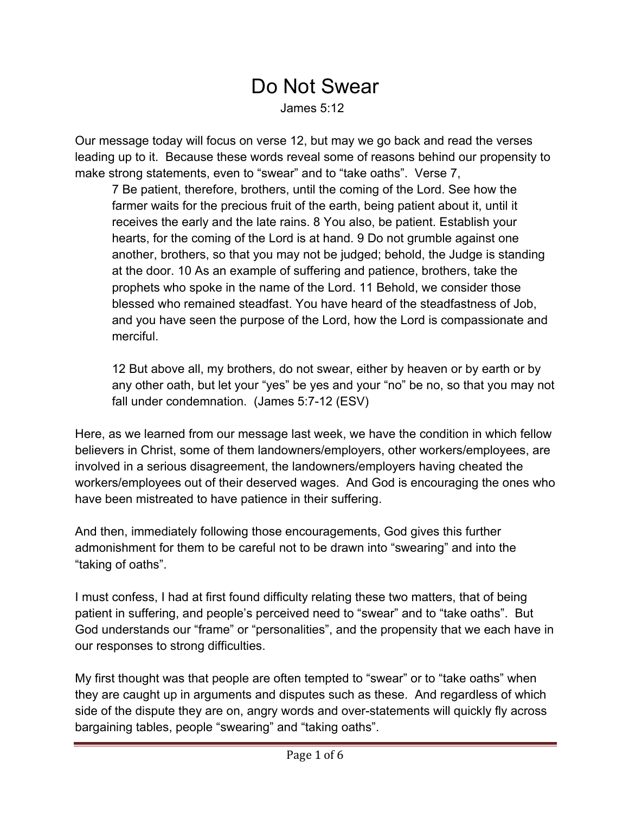## Do Not Swear James 5:12

Our message today will focus on verse 12, but may we go back and read the verses leading up to it. Because these words reveal some of reasons behind our propensity to make strong statements, even to "swear" and to "take oaths". Verse 7,

7 Be patient, therefore, brothers, until the coming of the Lord. See how the farmer waits for the precious fruit of the earth, being patient about it, until it receives the early and the late rains. 8 You also, be patient. Establish your hearts, for the coming of the Lord is at hand. 9 Do not grumble against one another, brothers, so that you may not be judged; behold, the Judge is standing at the door. 10 As an example of suffering and patience, brothers, take the prophets who spoke in the name of the Lord. 11 Behold, we consider those blessed who remained steadfast. You have heard of the steadfastness of Job, and you have seen the purpose of the Lord, how the Lord is compassionate and merciful.

12 But above all, my brothers, do not swear, either by heaven or by earth or by any other oath, but let your "yes" be yes and your "no" be no, so that you may not fall under condemnation. (James 5:7-12 (ESV)

Here, as we learned from our message last week, we have the condition in which fellow believers in Christ, some of them landowners/employers, other workers/employees, are involved in a serious disagreement, the landowners/employers having cheated the workers/employees out of their deserved wages. And God is encouraging the ones who have been mistreated to have patience in their suffering.

And then, immediately following those encouragements, God gives this further admonishment for them to be careful not to be drawn into "swearing" and into the "taking of oaths".

I must confess, I had at first found difficulty relating these two matters, that of being patient in suffering, and people's perceived need to "swear" and to "take oaths". But God understands our "frame" or "personalities", and the propensity that we each have in our responses to strong difficulties.

My first thought was that people are often tempted to "swear" or to "take oaths" when they are caught up in arguments and disputes such as these. And regardless of which side of the dispute they are on, angry words and over-statements will quickly fly across bargaining tables, people "swearing" and "taking oaths".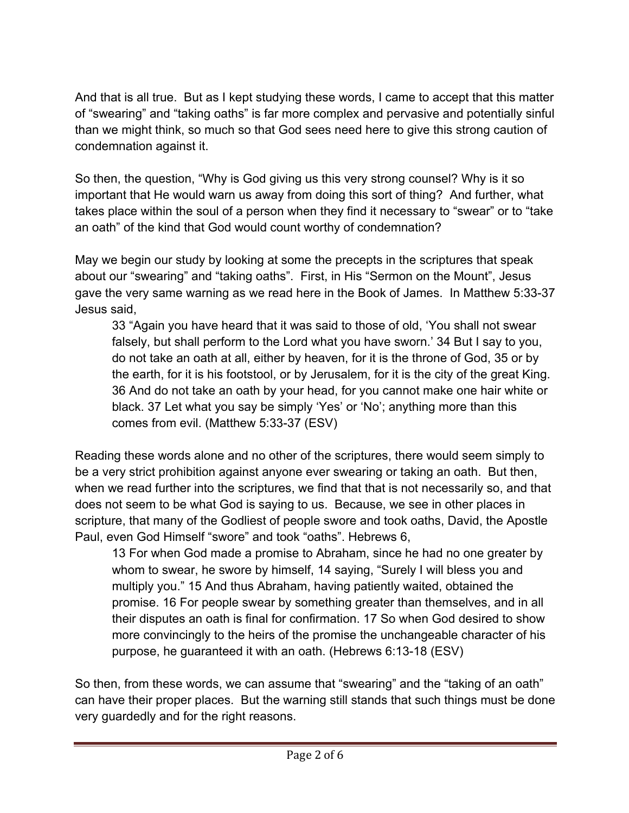And that is all true. But as I kept studying these words, I came to accept that this matter of "swearing" and "taking oaths" is far more complex and pervasive and potentially sinful than we might think, so much so that God sees need here to give this strong caution of condemnation against it.

So then, the question, "Why is God giving us this very strong counsel? Why is it so important that He would warn us away from doing this sort of thing? And further, what takes place within the soul of a person when they find it necessary to "swear" or to "take an oath" of the kind that God would count worthy of condemnation?

May we begin our study by looking at some the precepts in the scriptures that speak about our "swearing" and "taking oaths". First, in His "Sermon on the Mount", Jesus gave the very same warning as we read here in the Book of James. In Matthew 5:33-37 Jesus said,

33 "Again you have heard that it was said to those of old, 'You shall not swear falsely, but shall perform to the Lord what you have sworn.' 34 But I say to you, do not take an oath at all, either by heaven, for it is the throne of God, 35 or by the earth, for it is his footstool, or by Jerusalem, for it is the city of the great King. 36 And do not take an oath by your head, for you cannot make one hair white or black. 37 Let what you say be simply 'Yes' or 'No'; anything more than this comes from evil. (Matthew 5:33-37 (ESV)

Reading these words alone and no other of the scriptures, there would seem simply to be a very strict prohibition against anyone ever swearing or taking an oath. But then, when we read further into the scriptures, we find that that is not necessarily so, and that does not seem to be what God is saying to us. Because, we see in other places in scripture, that many of the Godliest of people swore and took oaths, David, the Apostle Paul, even God Himself "swore" and took "oaths". Hebrews 6,

13 For when God made a promise to Abraham, since he had no one greater by whom to swear, he swore by himself, 14 saying, "Surely I will bless you and multiply you." 15 And thus Abraham, having patiently waited, obtained the promise. 16 For people swear by something greater than themselves, and in all their disputes an oath is final for confirmation. 17 So when God desired to show more convincingly to the heirs of the promise the unchangeable character of his purpose, he guaranteed it with an oath. (Hebrews 6:13-18 (ESV)

So then, from these words, we can assume that "swearing" and the "taking of an oath" can have their proper places. But the warning still stands that such things must be done very guardedly and for the right reasons.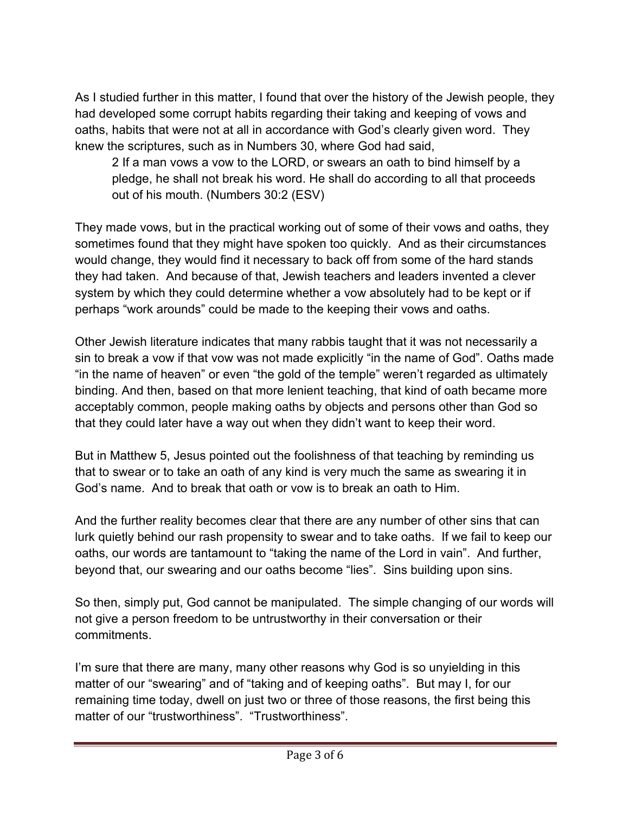As I studied further in this matter, I found that over the history of the Jewish people, they had developed some corrupt habits regarding their taking and keeping of vows and oaths, habits that were not at all in accordance with God's clearly given word. They knew the scriptures, such as in Numbers 30, where God had said,

2 If a man vows a vow to the LORD, or swears an oath to bind himself by a pledge, he shall not break his word. He shall do according to all that proceeds out of his mouth. (Numbers 30:2 (ESV)

They made vows, but in the practical working out of some of their vows and oaths, they sometimes found that they might have spoken too quickly. And as their circumstances would change, they would find it necessary to back off from some of the hard stands they had taken. And because of that, Jewish teachers and leaders invented a clever system by which they could determine whether a vow absolutely had to be kept or if perhaps "work arounds" could be made to the keeping their vows and oaths.

Other Jewish literature indicates that many rabbis taught that it was not necessarily a sin to break a vow if that vow was not made explicitly "in the name of God". Oaths made "in the name of heaven" or even "the gold of the temple" weren't regarded as ultimately binding. And then, based on that more lenient teaching, that kind of oath became more acceptably common, people making oaths by objects and persons other than God so that they could later have a way out when they didn't want to keep their word.

But in Matthew 5, Jesus pointed out the foolishness of that teaching by reminding us that to swear or to take an oath of any kind is very much the same as swearing it in God's name. And to break that oath or vow is to break an oath to Him.

And the further reality becomes clear that there are any number of other sins that can lurk quietly behind our rash propensity to swear and to take oaths. If we fail to keep our oaths, our words are tantamount to "taking the name of the Lord in vain". And further, beyond that, our swearing and our oaths become "lies". Sins building upon sins.

So then, simply put, God cannot be manipulated. The simple changing of our words will not give a person freedom to be untrustworthy in their conversation or their commitments.

I'm sure that there are many, many other reasons why God is so unyielding in this matter of our "swearing" and of "taking and of keeping oaths". But may I, for our remaining time today, dwell on just two or three of those reasons, the first being this matter of our "trustworthiness". "Trustworthiness".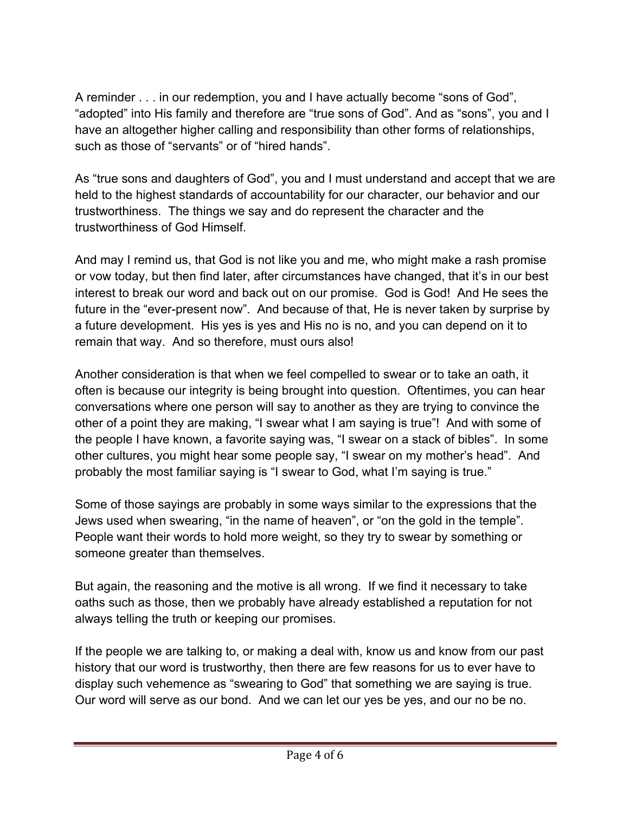A reminder . . . in our redemption, you and I have actually become "sons of God", "adopted" into His family and therefore are "true sons of God". And as "sons", you and I have an altogether higher calling and responsibility than other forms of relationships, such as those of "servants" or of "hired hands".

As "true sons and daughters of God", you and I must understand and accept that we are held to the highest standards of accountability for our character, our behavior and our trustworthiness. The things we say and do represent the character and the trustworthiness of God Himself.

And may I remind us, that God is not like you and me, who might make a rash promise or vow today, but then find later, after circumstances have changed, that it's in our best interest to break our word and back out on our promise. God is God! And He sees the future in the "ever-present now". And because of that, He is never taken by surprise by a future development. His yes is yes and His no is no, and you can depend on it to remain that way. And so therefore, must ours also!

Another consideration is that when we feel compelled to swear or to take an oath, it often is because our integrity is being brought into question. Oftentimes, you can hear conversations where one person will say to another as they are trying to convince the other of a point they are making, "I swear what I am saying is true"! And with some of the people I have known, a favorite saying was, "I swear on a stack of bibles". In some other cultures, you might hear some people say, "I swear on my mother's head". And probably the most familiar saying is "I swear to God, what I'm saying is true."

Some of those sayings are probably in some ways similar to the expressions that the Jews used when swearing, "in the name of heaven", or "on the gold in the temple". People want their words to hold more weight, so they try to swear by something or someone greater than themselves.

But again, the reasoning and the motive is all wrong. If we find it necessary to take oaths such as those, then we probably have already established a reputation for not always telling the truth or keeping our promises.

If the people we are talking to, or making a deal with, know us and know from our past history that our word is trustworthy, then there are few reasons for us to ever have to display such vehemence as "swearing to God" that something we are saying is true. Our word will serve as our bond. And we can let our yes be yes, and our no be no.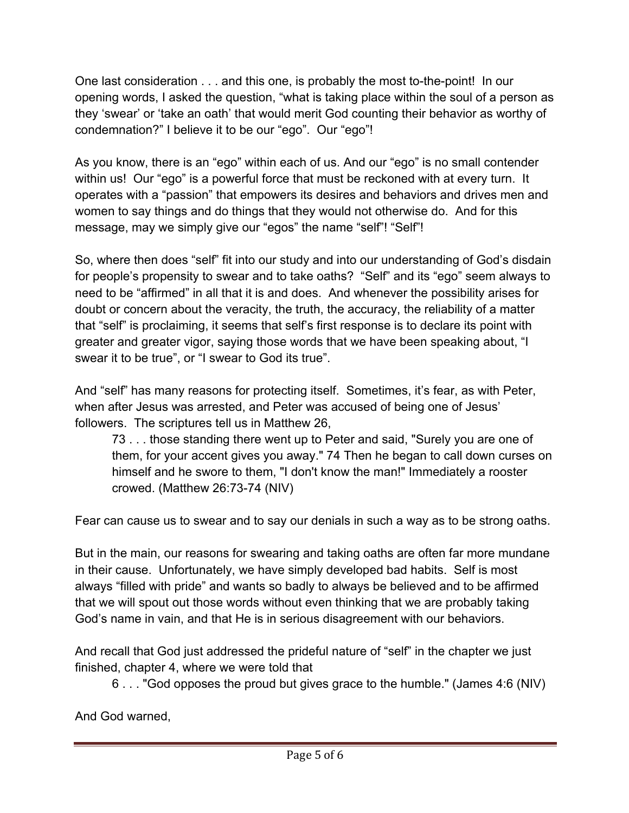One last consideration . . . and this one, is probably the most to-the-point! In our opening words, I asked the question, "what is taking place within the soul of a person as they 'swear' or 'take an oath' that would merit God counting their behavior as worthy of condemnation?" I believe it to be our "ego". Our "ego"!

As you know, there is an "ego" within each of us. And our "ego" is no small contender within us! Our "ego" is a powerful force that must be reckoned with at every turn. It operates with a "passion" that empowers its desires and behaviors and drives men and women to say things and do things that they would not otherwise do. And for this message, may we simply give our "egos" the name "self"! "Self"!

So, where then does "self" fit into our study and into our understanding of God's disdain for people's propensity to swear and to take oaths? "Self" and its "ego" seem always to need to be "affirmed" in all that it is and does. And whenever the possibility arises for doubt or concern about the veracity, the truth, the accuracy, the reliability of a matter that "self" is proclaiming, it seems that self's first response is to declare its point with greater and greater vigor, saying those words that we have been speaking about, "I swear it to be true", or "I swear to God its true".

And "self" has many reasons for protecting itself. Sometimes, it's fear, as with Peter, when after Jesus was arrested, and Peter was accused of being one of Jesus' followers. The scriptures tell us in Matthew 26,

73 . . . those standing there went up to Peter and said, "Surely you are one of them, for your accent gives you away." 74 Then he began to call down curses on himself and he swore to them, "I don't know the man!" Immediately a rooster crowed. (Matthew 26:73-74 (NIV)

Fear can cause us to swear and to say our denials in such a way as to be strong oaths.

But in the main, our reasons for swearing and taking oaths are often far more mundane in their cause. Unfortunately, we have simply developed bad habits. Self is most always "filled with pride" and wants so badly to always be believed and to be affirmed that we will spout out those words without even thinking that we are probably taking God's name in vain, and that He is in serious disagreement with our behaviors.

And recall that God just addressed the prideful nature of "self" in the chapter we just finished, chapter 4, where we were told that

6 . . . "God opposes the proud but gives grace to the humble." (James 4:6 (NIV)

And God warned,